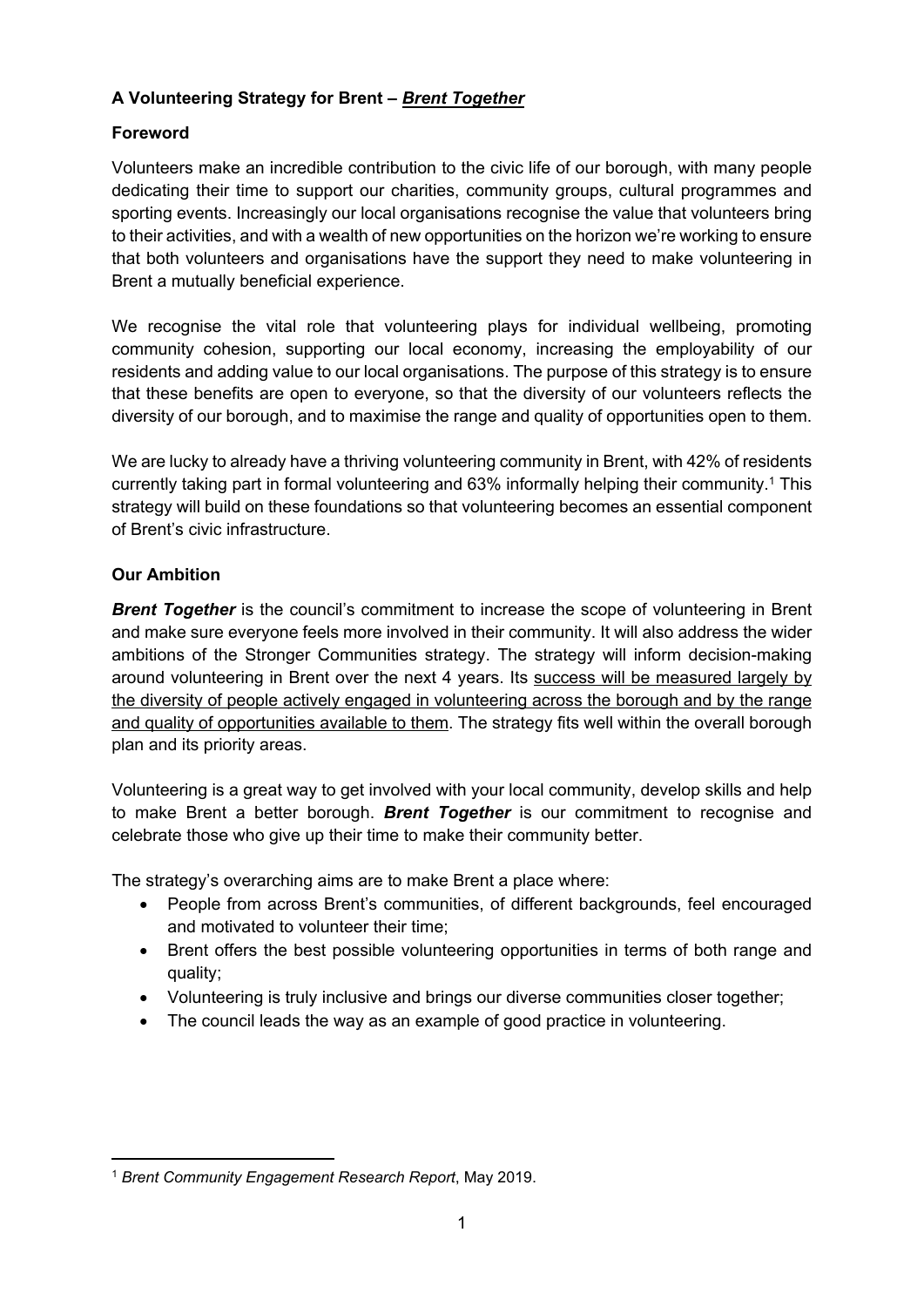# **A Volunteering Strategy for Brent –** *Brent Together*

# **Foreword**

Volunteers make an incredible contribution to the civic life of our borough, with many people dedicating their time to support our charities, community groups, cultural programmes and sporting events. Increasingly our local organisations recognise the value that volunteers bring to their activities, and with a wealth of new opportunities on the horizon we're working to ensure that both volunteers and organisations have the support they need to make volunteering in Brent a mutually beneficial experience.

We recognise the vital role that volunteering plays for individual wellbeing, promoting community cohesion, supporting our local economy, increasing the employability of our residents and adding value to our local organisations. The purpose of this strategy is to ensure that these benefits are open to everyone, so that the diversity of our volunteers reflects the diversity of our borough, and to maximise the range and quality of opportunities open to them.

We are lucky to already have a thriving volunteering community in Brent, with 42% of residents currently taking part in formal volunteering and 63% informally helping their community.<sup>1</sup> This strategy will build on these foundations so that volunteering becomes an essential component of Brent's civic infrastructure.

# **Our Ambition**

**Brent Together** is the council's commitment to increase the scope of volunteering in Brent and make sure everyone feels more involved in their community. It will also address the wider ambitions of the Stronger Communities strategy. The strategy will inform decision-making around volunteering in Brent over the next 4 years. Its success will be measured largely by the diversity of people actively engaged in volunteering across the borough and by the range and quality of opportunities available to them. The strategy fits well within the overall borough plan and its priority areas.

Volunteering is a great way to get involved with your local community, develop skills and help to make Brent a better borough. *Brent Together* is our commitment to recognise and celebrate those who give up their time to make their community better.

The strategy's overarching aims are to make Brent a place where:

- People from across Brent's communities, of different backgrounds, feel encouraged and motivated to volunteer their time;
- Brent offers the best possible volunteering opportunities in terms of both range and quality;
- Volunteering is truly inclusive and brings our diverse communities closer together;
- The council leads the way as an example of good practice in volunteering.

<sup>1</sup> *Brent Community Engagement Research Report*, May 2019.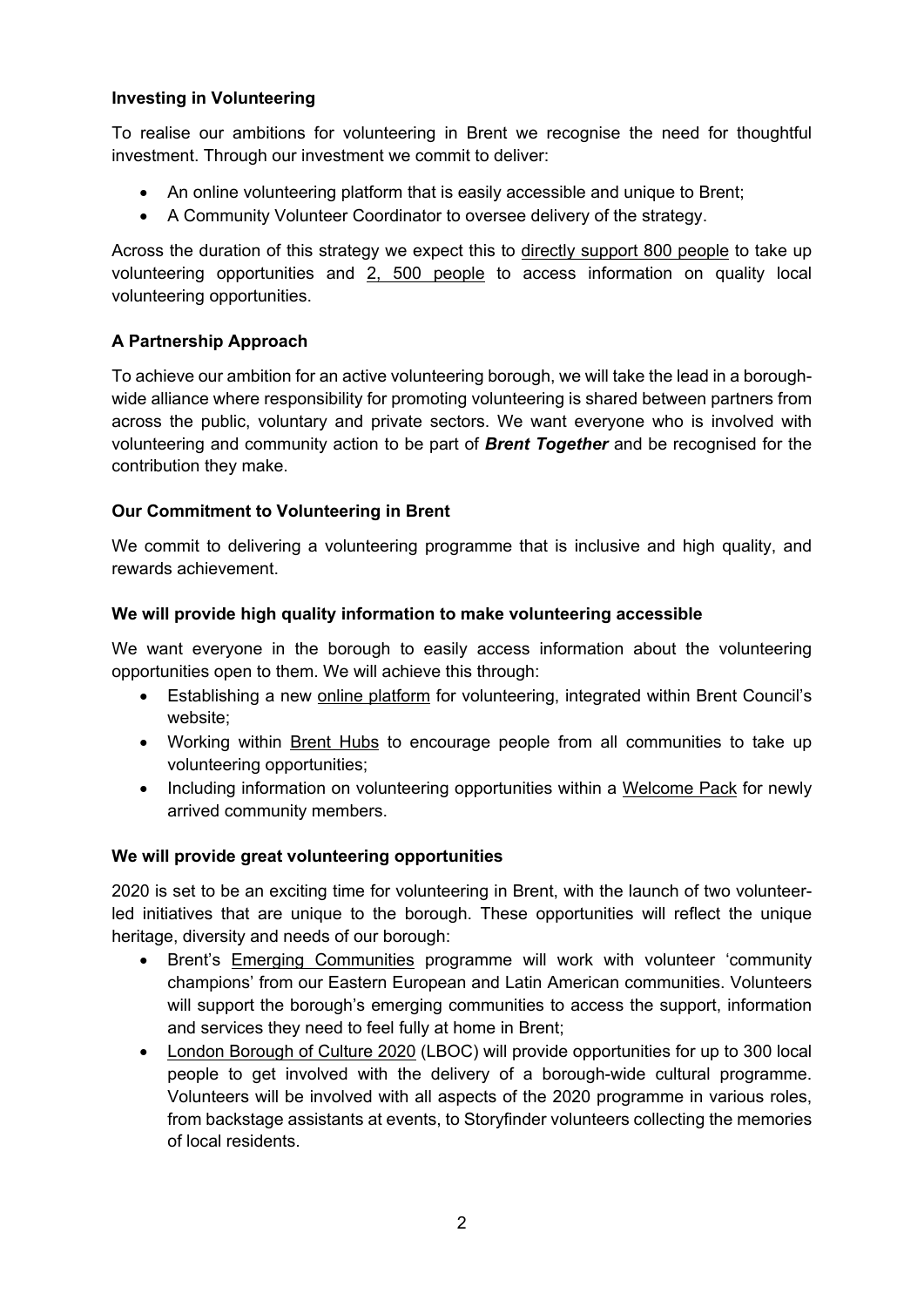### **Investing in Volunteering**

To realise our ambitions for volunteering in Brent we recognise the need for thoughtful investment. Through our investment we commit to deliver:

- An online volunteering platform that is easily accessible and unique to Brent;
- A Community Volunteer Coordinator to oversee delivery of the strategy.

Across the duration of this strategy we expect this to directly support 800 people to take up volunteering opportunities and 2, 500 people to access information on quality local volunteering opportunities.

# **A Partnership Approach**

To achieve our ambition for an active volunteering borough, we will take the lead in a boroughwide alliance where responsibility for promoting volunteering is shared between partners from across the public, voluntary and private sectors. We want everyone who is involved with volunteering and community action to be part of *Brent Together* and be recognised for the contribution they make.

### **Our Commitment to Volunteering in Brent**

We commit to delivering a volunteering programme that is inclusive and high quality, and rewards achievement.

### **We will provide high quality information to make volunteering accessible**

We want everyone in the borough to easily access information about the volunteering opportunities open to them. We will achieve this through:

- Establishing a new online platform for volunteering, integrated within Brent Council's website;
- Working within Brent Hubs to encourage people from all communities to take up volunteering opportunities;
- Including information on volunteering opportunities within a Welcome Pack for newly arrived community members.

### **We will provide great volunteering opportunities**

2020 is set to be an exciting time for volunteering in Brent, with the launch of two volunteerled initiatives that are unique to the borough. These opportunities will reflect the unique heritage, diversity and needs of our borough:

- Brent's Emerging Communities programme will work with volunteer 'community champions' from our Eastern European and Latin American communities. Volunteers will support the borough's emerging communities to access the support, information and services they need to feel fully at home in Brent;
- London Borough of Culture 2020 (LBOC) will provide opportunities for up to 300 local people to get involved with the delivery of a borough-wide cultural programme. Volunteers will be involved with all aspects of the 2020 programme in various roles, from backstage assistants at events, to Storyfinder volunteers collecting the memories of local residents.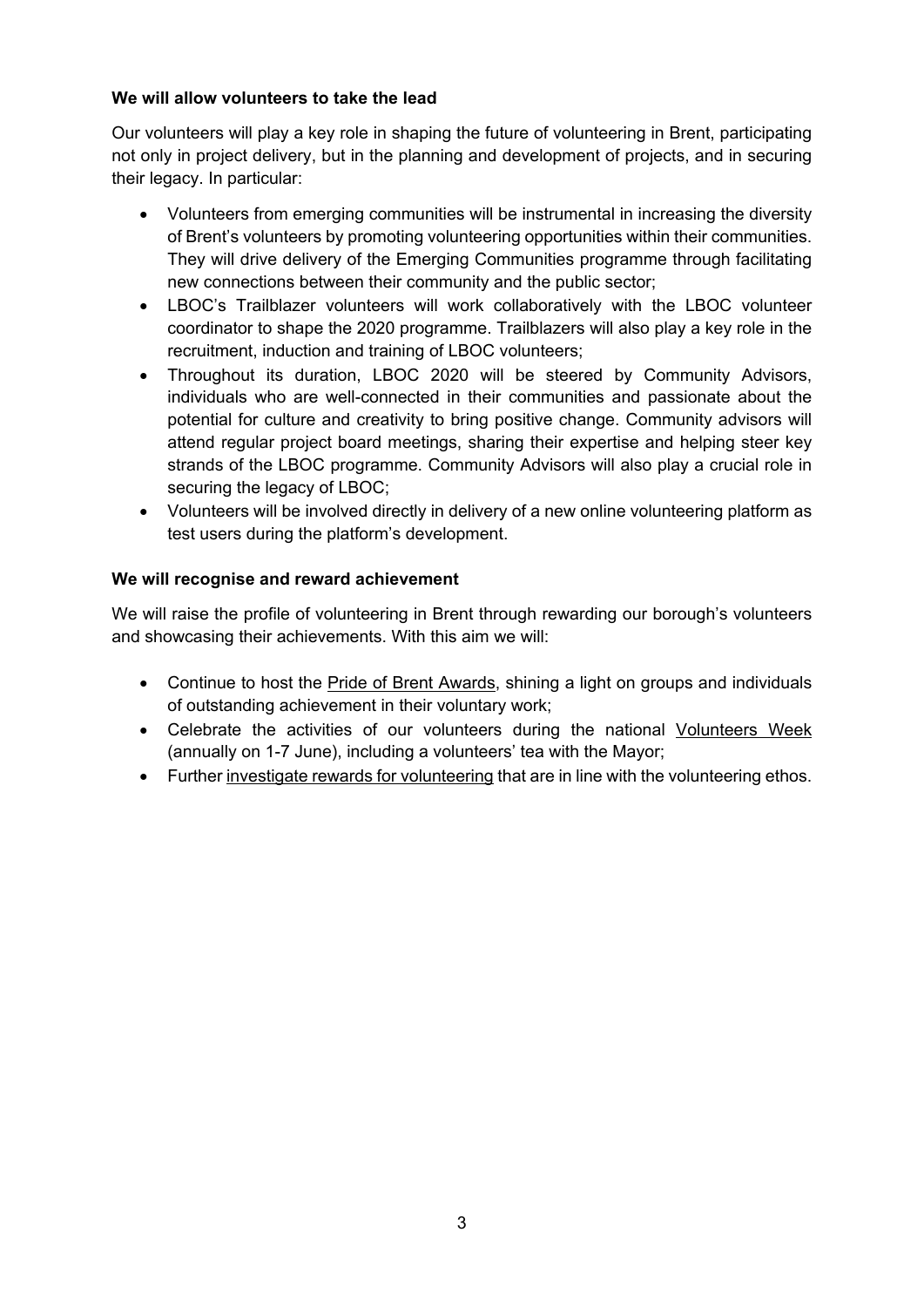### **We will allow volunteers to take the lead**

Our volunteers will play a key role in shaping the future of volunteering in Brent, participating not only in project delivery, but in the planning and development of projects, and in securing their legacy. In particular:

- Volunteers from emerging communities will be instrumental in increasing the diversity of Brent's volunteers by promoting volunteering opportunities within their communities. They will drive delivery of the Emerging Communities programme through facilitating new connections between their community and the public sector;
- LBOC's Trailblazer volunteers will work collaboratively with the LBOC volunteer coordinator to shape the 2020 programme. Trailblazers will also play a key role in the recruitment, induction and training of LBOC volunteers;
- Throughout its duration, LBOC 2020 will be steered by Community Advisors, individuals who are well-connected in their communities and passionate about the potential for culture and creativity to bring positive change. Community advisors will attend regular project board meetings, sharing their expertise and helping steer key strands of the LBOC programme. Community Advisors will also play a crucial role in securing the legacy of LBOC;
- Volunteers will be involved directly in delivery of a new online volunteering platform as test users during the platform's development.

### **We will recognise and reward achievement**

We will raise the profile of volunteering in Brent through rewarding our borough's volunteers and showcasing their achievements. With this aim we will:

- Continue to host the Pride of Brent Awards, shining a light on groups and individuals of outstanding achievement in their voluntary work;
- Celebrate the activities of our volunteers during the national Volunteers Week (annually on 1-7 June), including a volunteers' tea with the Mayor;
- Further investigate rewards for volunteering that are in line with the volunteering ethos.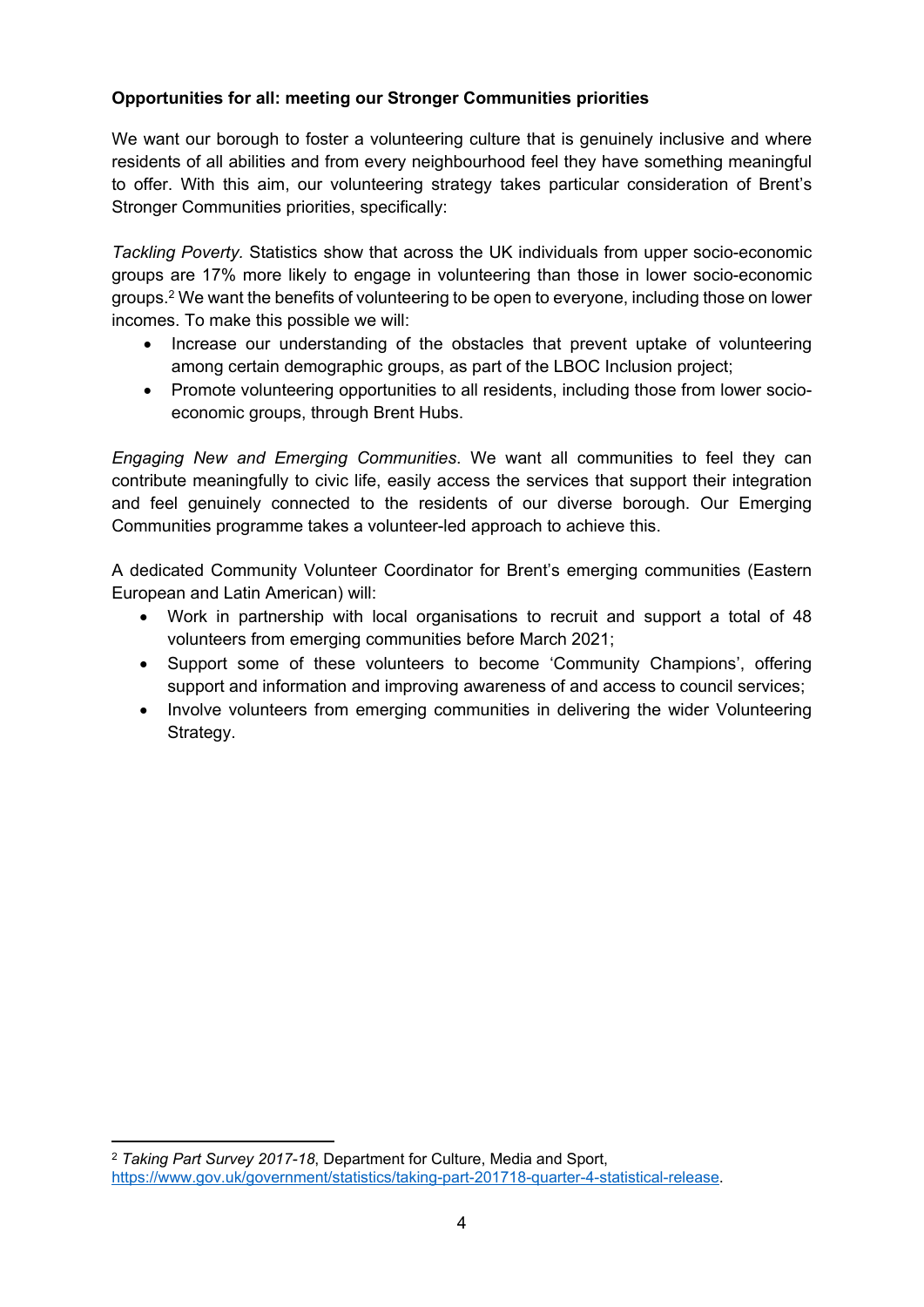# **Opportunities for all: meeting our Stronger Communities priorities**

We want our borough to foster a volunteering culture that is genuinely inclusive and where residents of all abilities and from every neighbourhood feel they have something meaningful to offer. With this aim, our volunteering strategy takes particular consideration of Brent's Stronger Communities priorities, specifically:

*Tackling Poverty.* Statistics show that across the UK individuals from upper socio-economic groups are 17% more likely to engage in volunteering than those in lower socio-economic groups.<sup>2</sup> We want the benefits of volunteering to be open to everyone, including those on lower incomes. To make this possible we will:

- Increase our understanding of the obstacles that prevent uptake of volunteering among certain demographic groups, as part of the LBOC Inclusion project;
- Promote volunteering opportunities to all residents, including those from lower socioeconomic groups, through Brent Hubs.

*Engaging New and Emerging Communities*. We want all communities to feel they can contribute meaningfully to civic life, easily access the services that support their integration and feel genuinely connected to the residents of our diverse borough. Our Emerging Communities programme takes a volunteer-led approach to achieve this.

A dedicated Community Volunteer Coordinator for Brent's emerging communities (Eastern European and Latin American) will:

- Work in partnership with local organisations to recruit and support a total of 48 volunteers from emerging communities before March 2021;
- Support some of these volunteers to become 'Community Champions', offering support and information and improving awareness of and access to council services;
- Involve volunteers from emerging communities in delivering the wider Volunteering Strategy.

<sup>2</sup> *Taking Part Survey 2017-18*, Department for Culture, Media and Sport, [https://www.gov.uk/government/statistics/taking-part-201718-quarter-4-statistical-release.](https://www.gov.uk/government/statistics/taking-part-201718-quarter-4-statistical-release)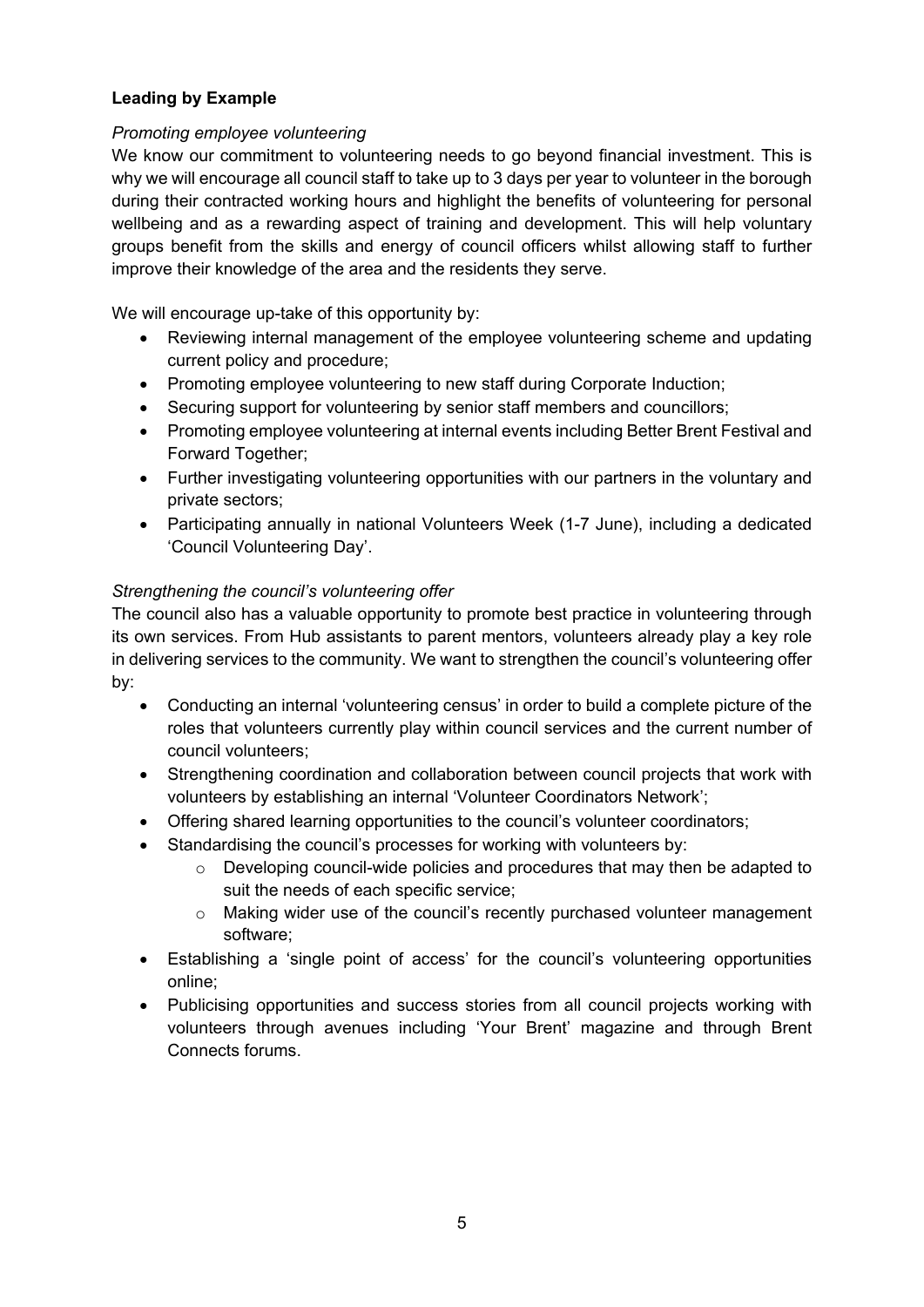# **Leading by Example**

### *Promoting employee volunteering*

We know our commitment to volunteering needs to go beyond financial investment. This is why we will encourage all council staff to take up to 3 days per year to volunteer in the borough during their contracted working hours and highlight the benefits of volunteering for personal wellbeing and as a rewarding aspect of training and development. This will help voluntary groups benefit from the skills and energy of council officers whilst allowing staff to further improve their knowledge of the area and the residents they serve.

We will encourage up-take of this opportunity by:

- Reviewing internal management of the employee volunteering scheme and updating current policy and procedure;
- Promoting employee volunteering to new staff during Corporate Induction;
- Securing support for volunteering by senior staff members and councillors;
- Promoting employee volunteering at internal events including Better Brent Festival and Forward Together;
- Further investigating volunteering opportunities with our partners in the voluntary and private sectors;
- Participating annually in national Volunteers Week (1-7 June), including a dedicated 'Council Volunteering Day'.

### *Strengthening the council's volunteering offer*

The council also has a valuable opportunity to promote best practice in volunteering through its own services. From Hub assistants to parent mentors, volunteers already play a key role in delivering services to the community. We want to strengthen the council's volunteering offer by:

- Conducting an internal 'volunteering census' in order to build a complete picture of the roles that volunteers currently play within council services and the current number of council volunteers;
- Strengthening coordination and collaboration between council projects that work with volunteers by establishing an internal 'Volunteer Coordinators Network';
- Offering shared learning opportunities to the council's volunteer coordinators;
- Standardising the council's processes for working with volunteers by:
	- o Developing council-wide policies and procedures that may then be adapted to suit the needs of each specific service;
	- o Making wider use of the council's recently purchased volunteer management software;
- Establishing a 'single point of access' for the council's volunteering opportunities online;
- Publicising opportunities and success stories from all council projects working with volunteers through avenues including 'Your Brent' magazine and through Brent Connects forums.